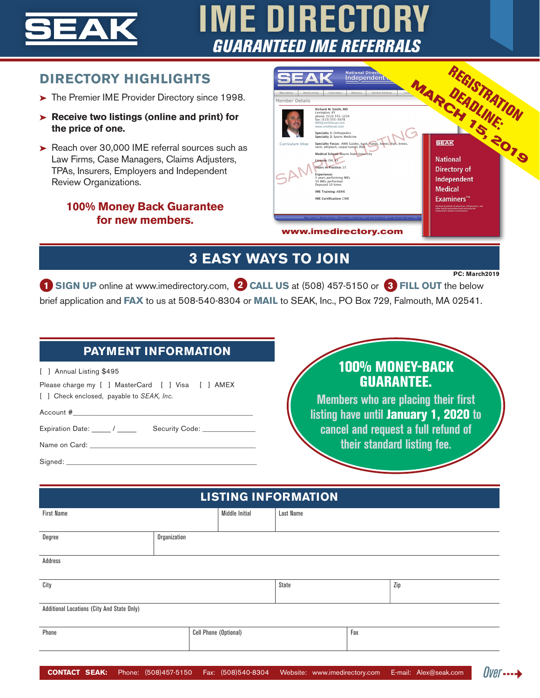

# **IME DIRECTORY** *GUARANTEED IME REFERRALS*

#### **DIRECTORY HIGHLIGHTS**

- The Premier IME Provider Directory since 1998.
- **Receive two listings (online and print) for the price of one.**
- Reach over 30,000 IME referral sources such as Law Firms, Case Managers, Claims Adjusters, TPAs, Insurers, Employers and Independent Review Organizations.

#### **100% Money Back Guarantee for new members.**

|                                                                      | <b>National Directu</b><br>Independent                                                                                                                                                                                                                                                                                                                                                                                                                                                                                                                                                                    |                                                                                                                                                                                                                                        |  |
|----------------------------------------------------------------------|-----------------------------------------------------------------------------------------------------------------------------------------------------------------------------------------------------------------------------------------------------------------------------------------------------------------------------------------------------------------------------------------------------------------------------------------------------------------------------------------------------------------------------------------------------------------------------------------------------------|----------------------------------------------------------------------------------------------------------------------------------------------------------------------------------------------------------------------------------------|--|
| Place Listing<br>Renew Listing<br>Member Details<br>Curriculum Vitae | Information<br>Webstone.<br>Seminar Schedule<br>Richard M. Smith, MD<br>Lexington, KY<br>phone: (513) 555-1234<br>fax: (513) 555-5678<br>RMS@smitheval.com<br>www.smitheval.com<br>Specialty 1: Orthopedics<br>Specialty 2: Sports Medicine<br>Specialty Focus: AMA Guides, back, hands, bones, hips, knees,<br>neck, whiplash, carpal tunnel, RSD<br>Medical School: Wayne State University<br>License: OH, KY<br><b>Years in Practice: 15</b><br><b>Experience:</b><br>5 years performing IMEs<br>50 IMEs performed<br>Deposed 10 times<br><b>IME Training: ABIME</b><br><b>IME Certification: CIME</b> | <b>SEAK</b><br><b>National</b><br>Directory of<br>Independent<br><b>Medical</b><br>Examiners™<br>Contains hundreds of physicians, chiropractors, and<br>other healthcare professionals who provide<br>independent medical examinations |  |
|                                                                      | Place Listing   Renew Listing   Information   Webstore   Seminar Schedule   Locate Expert Witnesses   SEA<br>www.imedirectory.com                                                                                                                                                                                                                                                                                                                                                                                                                                                                         |                                                                                                                                                                                                                                        |  |

## **3 EASY WAYS TO JOIN**

**PC: March2019**

*Over*---4

**1 SIGN UP** online at www.imedirectory.com, **2 CALL US** at (508) 457-5150 or **3 FILL OUT** the below brief application and **FAX** to us at 508-540-8304 or **MAIL** to SEAK, Inc., PO Box 729, Falmouth, MA 02541.

#### **PAYMENT INFORMATION**

[ ] Annual Listing \$495

Please charge my [ ] MasterCard [ ] Visa [ ] AMEX [ ] Check enclosed, payable to *SEAK, Inc.*

Account #\_\_\_\_\_\_\_\_\_\_\_\_\_\_\_\_\_\_\_\_\_\_\_\_\_\_\_\_\_\_\_\_\_\_\_\_\_\_\_\_\_\_\_\_\_\_\_\_\_\_\_

Expiration Date: \_\_\_\_\_ / \_\_\_\_\_\_\_ Security Code: \_

Name on Card:

Signed:

### 100% MONEY-BACK GUARANTEE.

**Members who are placing their first listing have until** January 1, 2020 **to cancel and request a full refund of their standard listing fee.**

| <b>LISTING INFORMATION</b>                 |              |                       |              |     |     |  |
|--------------------------------------------|--------------|-----------------------|--------------|-----|-----|--|
| <b>First Name</b>                          |              | Middle Initial        | Last Name    |     |     |  |
| Degree                                     | Organization |                       |              |     |     |  |
| Address                                    |              |                       |              |     |     |  |
| City                                       |              |                       | <b>State</b> |     | Zip |  |
| Additional Locations (City And State Only) |              |                       |              |     |     |  |
| Phone                                      |              | Cell Phone (Optional) |              | Fax |     |  |